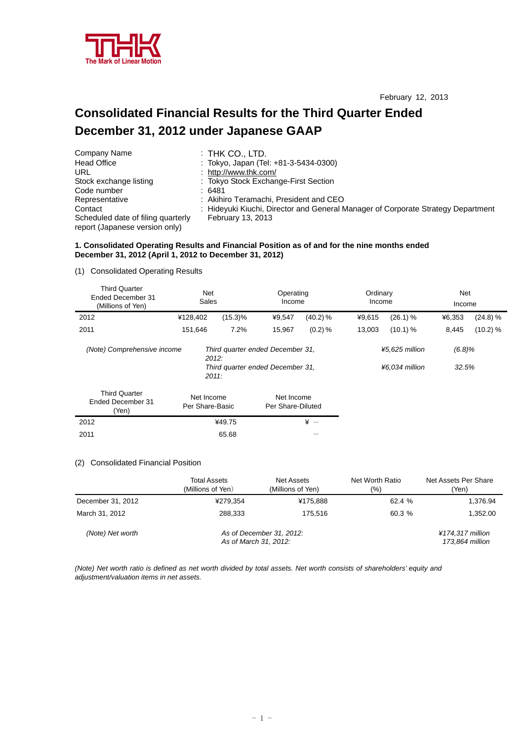

# **Consolidated Financial Results for the Third Quarter Ended December 31, 2012 under Japanese GAAP**

| Company Name                                                         | $:$ THK CO., LTD.                                                                |
|----------------------------------------------------------------------|----------------------------------------------------------------------------------|
| Head Office                                                          | : Tokyo, Japan (Tel: +81-3-5434-0300)                                            |
| URL                                                                  | : http://www.thk.com/                                                            |
| Stock exchange listing                                               | : Tokyo Stock Exchange-First Section                                             |
| Code number                                                          | : 6481                                                                           |
| Representative                                                       | : Akihiro Teramachi, President and CEO                                           |
| Contact                                                              | : Hideyuki Kiuchi, Director and General Manager of Corporate Strategy Department |
| Scheduled date of filing quarterly<br>report (Japanese version only) | <b>February 13, 2013</b>                                                         |

# **1. Consolidated Operating Results and Financial Position as of and for the nine months ended December 31, 2012 (April 1, 2012 to December 31, 2012)**

# (1) Consolidated Operating Results

| <b>Third Quarter</b><br>Ended December 31<br>(Millions of Yen) | <b>Net</b><br>Sales           |                                                                      | Operating<br>Income             |          | Ordinary<br>Income |                                  | Net<br>Income   |          |
|----------------------------------------------------------------|-------------------------------|----------------------------------------------------------------------|---------------------------------|----------|--------------------|----------------------------------|-----------------|----------|
| 2012                                                           | ¥128,402                      | $(15.3)\%$                                                           | ¥9,547                          | (40.2) % | ¥9,615             | (26.1) %                         | ¥6,353          | (24.8) % |
| 2011                                                           | 151,646                       | 7.2%                                                                 | 15,967                          | (0.2) %  | 13,003             | (10.1) %                         | 8,445           | (10.2) % |
| (Note) Comprehensive income                                    | 2012:<br>2011.                | Third quarter ended December 31,<br>Third quarter ended December 31, |                                 |          |                    | ¥5,625 million<br>¥6,034 million | (6.8)%<br>32.5% |          |
| <b>Third Quarter</b><br>Ended December 31<br>(Yen)             | Net Income<br>Per Share-Basic |                                                                      | Net Income<br>Per Share-Diluted |          |                    |                                  |                 |          |
| 2012                                                           |                               | ¥49.75                                                               |                                 | $* -$    |                    |                                  |                 |          |

# (2) Consolidated Financial Position

 $2011$  65.68  $-$ 

|                   | <b>Total Assets</b><br>(Millions of Yen) | Net Assets<br>(Millions of Yen)                   | Net Worth Ratio<br>(9/0) | Net Assets Per Share<br>(Yen)       |
|-------------------|------------------------------------------|---------------------------------------------------|--------------------------|-------------------------------------|
| December 31, 2012 | ¥279,354                                 | ¥175.888                                          | 62.4%                    | 1,376.94                            |
| March 31, 2012    | 288.333                                  | 175.516                                           | 60.3%                    | 1.352.00                            |
| (Note) Net worth  |                                          | As of December 31, 2012:<br>As of March 31, 2012: |                          | ¥174.317 million<br>173.864 million |

*(Note) Net worth ratio is defined as net worth divided by total assets. Net worth consists of shareholders' equity and adjustment/valuation items in net assets.*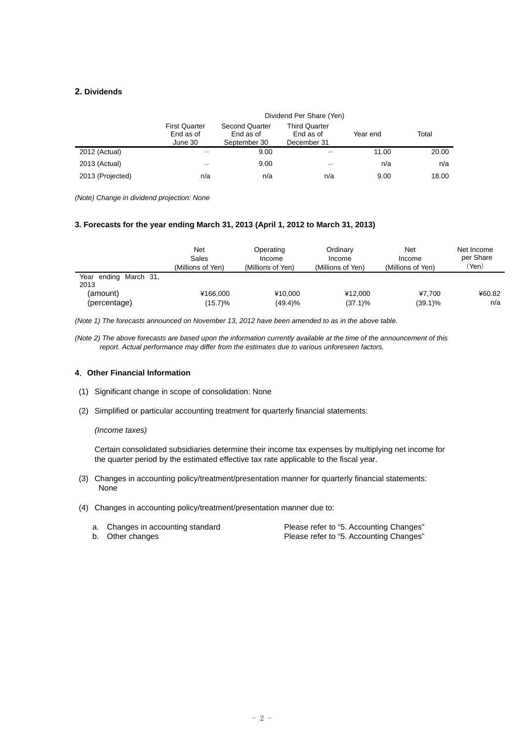# **2. Dividends**

|                  | Dividend Per Share (Yen)                     |                                                    |                                                  |          |       |  |  |  |
|------------------|----------------------------------------------|----------------------------------------------------|--------------------------------------------------|----------|-------|--|--|--|
|                  | <b>First Quarter</b><br>End as of<br>June 30 | <b>Second Quarter</b><br>End as of<br>September 30 | <b>Third Quarter</b><br>End as of<br>December 31 | Year end | Total |  |  |  |
| 2012 (Actual)    |                                              | 9.00                                               |                                                  | 11.00    | 20.00 |  |  |  |
| 2013 (Actual)    |                                              | 9.00                                               |                                                  | n/a      | n/a   |  |  |  |
| 2013 (Projected) | n/a                                          | n/a                                                | n/a                                              | 9.00     | 18.00 |  |  |  |

*(Note) Change in dividend projection: None* 

### **3. Forecasts for the year ending March 31, 2013 (April 1, 2012 to March 31, 2013)**

|                               | Net<br>Sales<br>(Millions of Yen) | Operating<br>Income<br>(Millions of Yen) | Ordinary<br>Income<br>(Millions of Yen) | Net<br>Income<br>(Millions of Yen) | Net Income<br>per Share<br>'Yen) |
|-------------------------------|-----------------------------------|------------------------------------------|-----------------------------------------|------------------------------------|----------------------------------|
| Year ending March 31,<br>2013 |                                   |                                          |                                         |                                    |                                  |
| (amount)                      | ¥166.000                          | ¥10.000                                  | ¥12.000                                 | ¥7.700                             | ¥60.82                           |
| (percentage)                  | $(15.7)\%$                        | (49.4)%                                  | $(37.1)\%$                              | $(39.1)\%$                         | n/a                              |

*(Note 1) The forecasts announced on November 13, 2012 have been amended to as in the above table.* 

*(Note 2) The above forecasts are based upon the information currently available at the time of the announcement of this report. Actual performance may differ from the estimates due to various unforeseen factors.* 

## **4**.**Other Financial Information**

- (1) Significant change in scope of consolidation: None
- (2) Simplified or particular accounting treatment for quarterly financial statements:

## *(Income taxes)*

Certain consolidated subsidiaries determine their income tax expenses by multiplying net income for the quarter period by the estimated effective tax rate applicable to the fiscal year.

- (3) Changes in accounting policy/treatment/presentation manner for quarterly financial statements: None
- (4) Changes in accounting policy/treatment/presentation manner due to:

| a. Changes in accounting standard | Please refer to "5. Accounting Changes" |
|-----------------------------------|-----------------------------------------|
| b. Other changes                  | Please refer to "5. Accounting Changes" |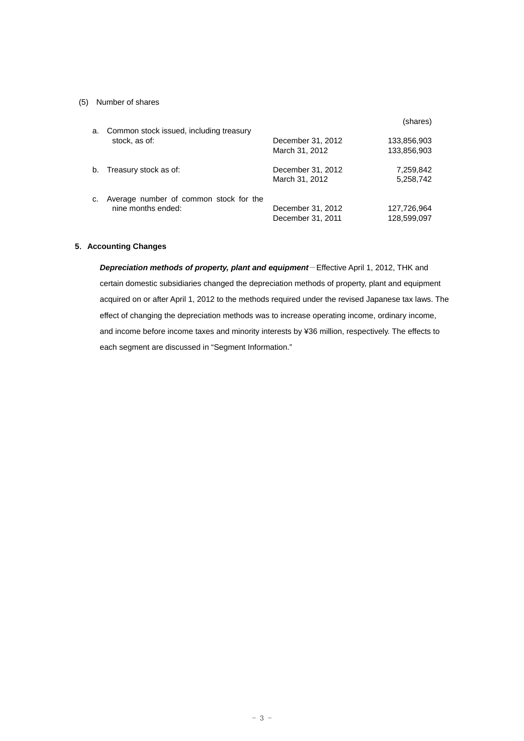# (5) Number of shares

| a. | Common stock issued, including treasury                      |                                        | (shares)                   |
|----|--------------------------------------------------------------|----------------------------------------|----------------------------|
|    | stock, as of:                                                | December 31, 2012<br>March 31, 2012    | 133,856,903<br>133,856,903 |
| b. | Treasury stock as of:                                        | December 31, 2012<br>March 31, 2012    | 7,259,842<br>5,258,742     |
| c. | Average number of common stock for the<br>nine months ended: | December 31, 2012<br>December 31, 2011 | 127,726,964<br>128,599,097 |

# **5**.**Accounting Changes**

*Depreciation methods of property, plant and equipment*-Effective April 1, 2012, THK and certain domestic subsidiaries changed the depreciation methods of property, plant and equipment acquired on or after April 1, 2012 to the methods required under the revised Japanese tax laws. The effect of changing the depreciation methods was to increase operating income, ordinary income, and income before income taxes and minority interests by ¥36 million, respectively. The effects to each segment are discussed in "Segment Information."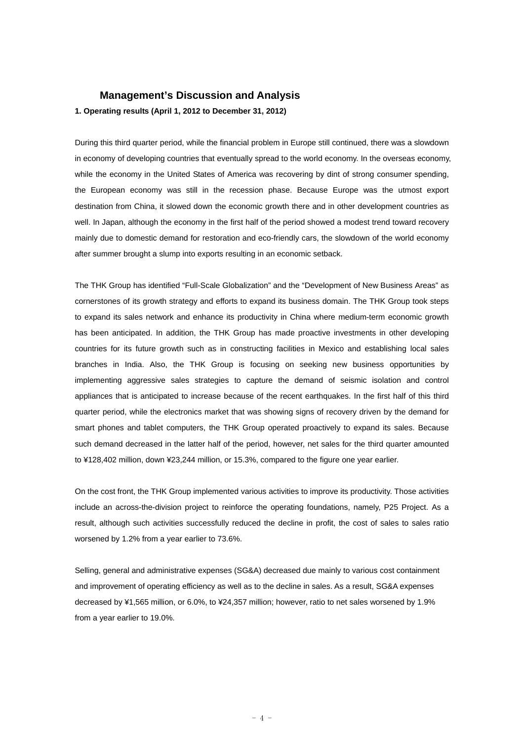# **Management's Discussion and Analysis**

## **1. Operating results (April 1, 2012 to December 31, 2012)**

During this third quarter period, while the financial problem in Europe still continued, there was a slowdown in economy of developing countries that eventually spread to the world economy. In the overseas economy, while the economy in the United States of America was recovering by dint of strong consumer spending, the European economy was still in the recession phase. Because Europe was the utmost export destination from China, it slowed down the economic growth there and in other development countries as well. In Japan, although the economy in the first half of the period showed a modest trend toward recovery mainly due to domestic demand for restoration and eco-friendly cars, the slowdown of the world economy after summer brought a slump into exports resulting in an economic setback.

The THK Group has identified "Full-Scale Globalization" and the "Development of New Business Areas" as cornerstones of its growth strategy and efforts to expand its business domain. The THK Group took steps to expand its sales network and enhance its productivity in China where medium-term economic growth has been anticipated. In addition, the THK Group has made proactive investments in other developing countries for its future growth such as in constructing facilities in Mexico and establishing local sales branches in India. Also, the THK Group is focusing on seeking new business opportunities by implementing aggressive sales strategies to capture the demand of seismic isolation and control appliances that is anticipated to increase because of the recent earthquakes. In the first half of this third quarter period, while the electronics market that was showing signs of recovery driven by the demand for smart phones and tablet computers, the THK Group operated proactively to expand its sales. Because such demand decreased in the latter half of the period, however, net sales for the third quarter amounted to ¥128,402 million, down ¥23,244 million, or 15.3%, compared to the figure one year earlier.

On the cost front, the THK Group implemented various activities to improve its productivity. Those activities include an across-the-division project to reinforce the operating foundations, namely, P25 Project. As a result, although such activities successfully reduced the decline in profit, the cost of sales to sales ratio worsened by 1.2% from a year earlier to 73.6%.

Selling, general and administrative expenses (SG&A) decreased due mainly to various cost containment and improvement of operating efficiency as well as to the decline in sales. As a result, SG&A expenses decreased by ¥1,565 million, or 6.0%, to ¥24,357 million; however, ratio to net sales worsened by 1.9% from a year earlier to 19.0%.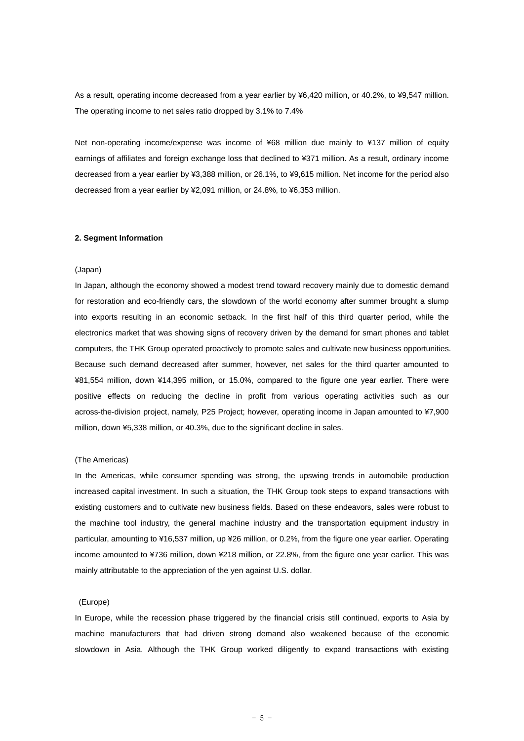As a result, operating income decreased from a year earlier by ¥6,420 million, or 40.2%, to ¥9,547 million. The operating income to net sales ratio dropped by 3.1% to 7.4%

Net non-operating income/expense was income of ¥68 million due mainly to ¥137 million of equity earnings of affiliates and foreign exchange loss that declined to ¥371 million. As a result, ordinary income decreased from a year earlier by ¥3,388 million, or 26.1%, to ¥9,615 million. Net income for the period also decreased from a year earlier by ¥2,091 million, or 24.8%, to ¥6,353 million.

#### **2. Segment Information**

#### (Japan)

In Japan, although the economy showed a modest trend toward recovery mainly due to domestic demand for restoration and eco-friendly cars, the slowdown of the world economy after summer brought a slump into exports resulting in an economic setback. In the first half of this third quarter period, while the electronics market that was showing signs of recovery driven by the demand for smart phones and tablet computers, the THK Group operated proactively to promote sales and cultivate new business opportunities. Because such demand decreased after summer, however, net sales for the third quarter amounted to ¥81,554 million, down ¥14,395 million, or 15.0%, compared to the figure one year earlier. There were positive effects on reducing the decline in profit from various operating activities such as our across-the-division project, namely, P25 Project; however, operating income in Japan amounted to ¥7,900 million, down ¥5,338 million, or 40.3%, due to the significant decline in sales.

#### (The Americas)

In the Americas, while consumer spending was strong, the upswing trends in automobile production increased capital investment. In such a situation, the THK Group took steps to expand transactions with existing customers and to cultivate new business fields. Based on these endeavors, sales were robust to the machine tool industry, the general machine industry and the transportation equipment industry in particular, amounting to ¥16,537 million, up ¥26 million, or 0.2%, from the figure one year earlier. Operating income amounted to ¥736 million, down ¥218 million, or 22.8%, from the figure one year earlier. This was mainly attributable to the appreciation of the yen against U.S. dollar.

#### (Europe)

In Europe, while the recession phase triggered by the financial crisis still continued, exports to Asia by machine manufacturers that had driven strong demand also weakened because of the economic slowdown in Asia. Although the THK Group worked diligently to expand transactions with existing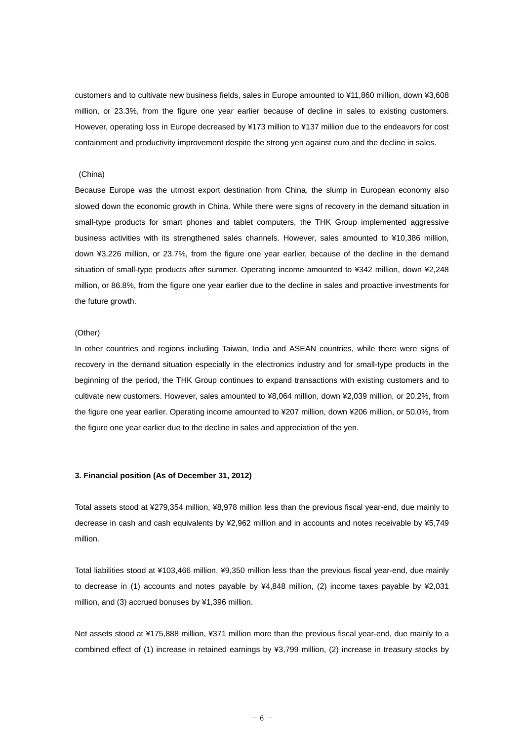customers and to cultivate new business fields, sales in Europe amounted to ¥11,860 million, down ¥3,608 million, or 23.3%, from the figure one year earlier because of decline in sales to existing customers. However, operating loss in Europe decreased by ¥173 million to ¥137 million due to the endeavors for cost containment and productivity improvement despite the strong yen against euro and the decline in sales.

#### (China)

Because Europe was the utmost export destination from China, the slump in European economy also slowed down the economic growth in China. While there were signs of recovery in the demand situation in small-type products for smart phones and tablet computers, the THK Group implemented aggressive business activities with its strengthened sales channels. However, sales amounted to ¥10,386 million, down ¥3,226 million, or 23.7%, from the figure one year earlier, because of the decline in the demand situation of small-type products after summer. Operating income amounted to ¥342 million, down ¥2,248 million, or 86.8%, from the figure one year earlier due to the decline in sales and proactive investments for the future growth.

#### (Other)

In other countries and regions including Taiwan, India and ASEAN countries, while there were signs of recovery in the demand situation especially in the electronics industry and for small-type products in the beginning of the period, the THK Group continues to expand transactions with existing customers and to cultivate new customers. However, sales amounted to ¥8,064 million, down ¥2,039 million, or 20.2%, from the figure one year earlier. Operating income amounted to ¥207 million, down ¥206 million, or 50.0%, from the figure one year earlier due to the decline in sales and appreciation of the yen.

#### **3. Financial position (As of December 31, 2012)**

Total assets stood at ¥279,354 million, ¥8,978 million less than the previous fiscal year-end, due mainly to decrease in cash and cash equivalents by ¥2,962 million and in accounts and notes receivable by ¥5,749 million.

Total liabilities stood at ¥103,466 million, ¥9,350 million less than the previous fiscal year-end, due mainly to decrease in (1) accounts and notes payable by ¥4,848 million, (2) income taxes payable by ¥2,031 million, and (3) accrued bonuses by ¥1,396 million.

Net assets stood at ¥175,888 million, ¥371 million more than the previous fiscal year-end, due mainly to a combined effect of (1) increase in retained earnings by ¥3,799 million, (2) increase in treasury stocks by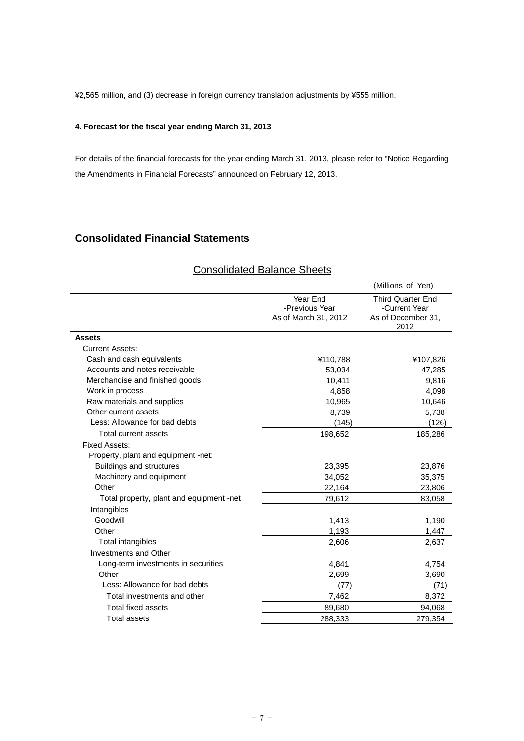¥2,565 million, and (3) decrease in foreign currency translation adjustments by ¥555 million.

## **4. Forecast for the fiscal year ending March 31, 2013**

For details of the financial forecasts for the year ending March 31, 2013, please refer to "Notice Regarding the Amendments in Financial Forecasts" announced on February 12, 2013.

# **Consolidated Financial Statements**

# (Millions of Yen) Year End -Previous Year Third Quarter End -Current Year<br>As of December 31, As of March 31, 2012 2012 **Assets**  Current Assets: Cash and cash equivalents **ACCO** X 410,788  $*10,788$   $*107,826$ Accounts and notes receivable 63,034 47,285 Merchandise and finished goods 10,411 9,816 Work in process and the set of the set of the set of the set of the set of the set of the set of the set of the set of the set of the set of the set of the set of the set of the set of the set of the set of the set of the Raw materials and supplies 10,646 10,646 10,646 Other current assets 6,739 5,738 Less: Allowance for bad debts (145) (126) Total current assets 198,652 185,286 Fixed Assets: Property, plant and equipment -net: Buildings and structures 23,876 23,395 Machinery and equipment 34,052 35,375 Other 23,806 22,164 23,806 Total property, plant and equipment -net 79,612 83,058 Intangibles Goodwill 1,413 1,190 Other 1,193 1,447 Total intangibles 2,606 2,637 Investments and Other Long-term investments in securities  $4.841$  4,754 Other 2,699 3,690 Less: Allowance for bad debts (71) (71) (71) Total investments and other The Total investments and other The Total investments and other The Total investments and other Total investments and other Total investments and other Total investments and other Total investme Total fixed assets 89,680 94,068 Total assets 288,333 279,354

# Consolidated Balance Sheets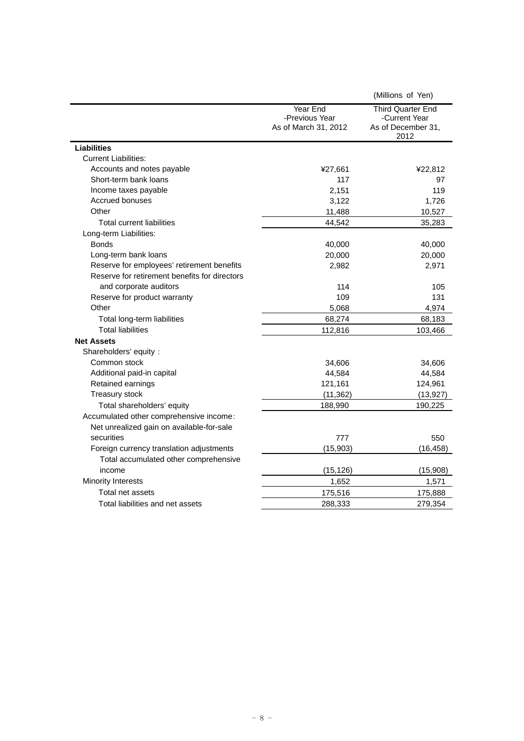|                                               |                                                    | (Millions of Yen)                                                       |
|-----------------------------------------------|----------------------------------------------------|-------------------------------------------------------------------------|
|                                               | Year End<br>-Previous Year<br>As of March 31, 2012 | <b>Third Quarter End</b><br>-Current Year<br>As of December 31,<br>2012 |
| <b>Liabilities</b>                            |                                                    |                                                                         |
| <b>Current Liabilities:</b>                   |                                                    |                                                                         |
| Accounts and notes payable                    | ¥27,661                                            | ¥22,812                                                                 |
| Short-term bank loans                         | 117                                                | 97                                                                      |
| Income taxes payable                          | 2,151                                              | 119                                                                     |
| Accrued bonuses                               | 3,122                                              | 1,726                                                                   |
| Other                                         | 11,488                                             | 10,527                                                                  |
| <b>Total current liabilities</b>              | 44,542                                             | 35,283                                                                  |
| Long-term Liabilities:                        |                                                    |                                                                         |
| <b>Bonds</b>                                  | 40,000                                             | 40,000                                                                  |
| Long-term bank loans                          | 20,000                                             | 20,000                                                                  |
| Reserve for employees' retirement benefits    | 2,982                                              | 2,971                                                                   |
| Reserve for retirement benefits for directors |                                                    |                                                                         |
| and corporate auditors                        | 114                                                | 105                                                                     |
| Reserve for product warranty                  | 109                                                | 131                                                                     |
| Other                                         | 5,068                                              | 4,974                                                                   |
| Total long-term liabilities                   | 68,274                                             | 68,183                                                                  |
| <b>Total liabilities</b>                      | 112,816                                            | 103,466                                                                 |
| <b>Net Assets</b>                             |                                                    |                                                                         |
| Shareholders' equity:                         |                                                    |                                                                         |
| Common stock                                  | 34,606                                             | 34,606                                                                  |
| Additional paid-in capital                    | 44,584                                             | 44,584                                                                  |
| Retained earnings                             | 121,161                                            | 124,961                                                                 |
| Treasury stock                                | (11, 362)                                          | (13, 927)                                                               |
| Total shareholders' equity                    | 188,990                                            | 190,225                                                                 |
| Accumulated other comprehensive income:       |                                                    |                                                                         |
| Net unrealized gain on available-for-sale     |                                                    |                                                                         |
| securities                                    | 777                                                | 550                                                                     |
| Foreign currency translation adjustments      | (15, 903)                                          | (16, 458)                                                               |
| Total accumulated other comprehensive         |                                                    |                                                                         |
| income                                        | (15, 126)                                          | (15, 908)                                                               |
| <b>Minority Interests</b>                     | 1,652                                              | 1,571                                                                   |
| Total net assets                              | 175,516                                            | 175,888                                                                 |
| Total liabilities and net assets              | 288,333                                            | 279,354                                                                 |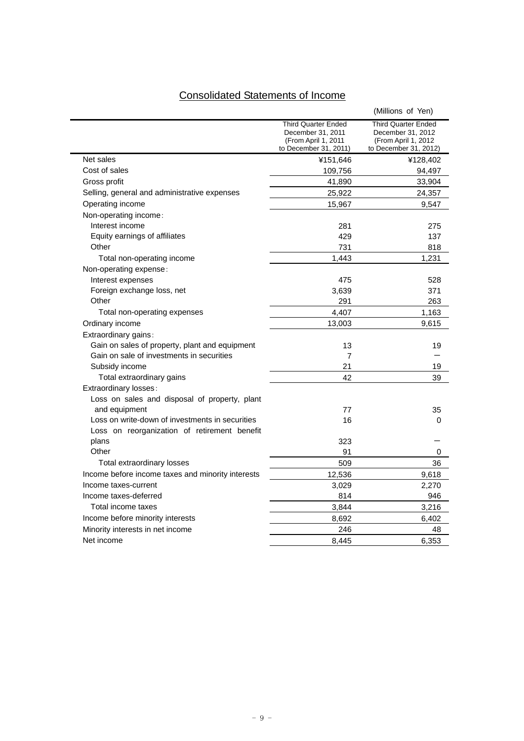# Consolidated Statements of Income

|                                                   |                                                                                                 | (Millions of Yen)                                                                               |
|---------------------------------------------------|-------------------------------------------------------------------------------------------------|-------------------------------------------------------------------------------------------------|
|                                                   | <b>Third Quarter Ended</b><br>December 31, 2011<br>(From April 1, 2011<br>to December 31, 2011) | <b>Third Quarter Ended</b><br>December 31, 2012<br>(From April 1, 2012<br>to December 31, 2012) |
| Net sales                                         | ¥151,646                                                                                        | ¥128,402                                                                                        |
| Cost of sales                                     | 109,756                                                                                         | 94,497                                                                                          |
| Gross profit                                      | 41,890                                                                                          | 33,904                                                                                          |
| Selling, general and administrative expenses      | 25,922                                                                                          | 24,357                                                                                          |
| Operating income                                  | 15,967                                                                                          | 9,547                                                                                           |
| Non-operating income:                             |                                                                                                 |                                                                                                 |
| Interest income                                   | 281                                                                                             | 275                                                                                             |
| Equity earnings of affiliates                     | 429                                                                                             | 137                                                                                             |
| Other                                             | 731                                                                                             | 818                                                                                             |
| Total non-operating income                        | 1,443                                                                                           | 1,231                                                                                           |
| Non-operating expense:                            |                                                                                                 |                                                                                                 |
| Interest expenses                                 | 475                                                                                             | 528                                                                                             |
| Foreign exchange loss, net                        | 3,639                                                                                           | 371                                                                                             |
| Other                                             | 291                                                                                             | 263                                                                                             |
| Total non-operating expenses                      | 4,407                                                                                           | 1,163                                                                                           |
| Ordinary income                                   | 13,003                                                                                          | 9,615                                                                                           |
| Extraordinary gains:                              |                                                                                                 |                                                                                                 |
| Gain on sales of property, plant and equipment    | 13                                                                                              | 19                                                                                              |
| Gain on sale of investments in securities         | $\overline{7}$                                                                                  |                                                                                                 |
| Subsidy income                                    | 21                                                                                              | 19                                                                                              |
| Total extraordinary gains                         | 42                                                                                              | 39                                                                                              |
| Extraordinary losses:                             |                                                                                                 |                                                                                                 |
| Loss on sales and disposal of property, plant     |                                                                                                 |                                                                                                 |
| and equipment                                     | 77                                                                                              | 35                                                                                              |
| Loss on write-down of investments in securities   | 16                                                                                              | 0                                                                                               |
| Loss on reorganization of retirement benefit      |                                                                                                 |                                                                                                 |
| plans                                             | 323                                                                                             |                                                                                                 |
| Other                                             | 91                                                                                              | 0                                                                                               |
| Total extraordinary losses                        | 509                                                                                             | 36                                                                                              |
| Income before income taxes and minority interests | 12,536                                                                                          | 9,618                                                                                           |
| Income taxes-current                              | 3,029                                                                                           | 2,270                                                                                           |
| Income taxes-deferred                             | 814                                                                                             | 946                                                                                             |
| Total income taxes                                | 3,844                                                                                           | 3,216                                                                                           |
| Income before minority interests                  | 8,692                                                                                           | 6,402                                                                                           |
| Minority interests in net income                  | 246                                                                                             | 48                                                                                              |
| Net income                                        | 8.445                                                                                           | 6,353                                                                                           |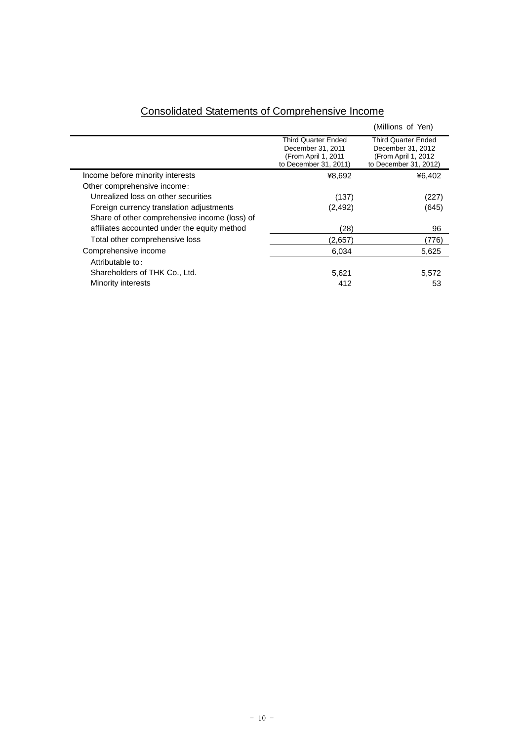|                                               |                                                                                                 | (Millions of Yen)                                                                                |
|-----------------------------------------------|-------------------------------------------------------------------------------------------------|--------------------------------------------------------------------------------------------------|
|                                               | <b>Third Quarter Ended</b><br>December 31, 2011<br>(From April 1, 2011<br>to December 31, 2011) | <b>Third Quarter Ended</b><br>December 31, 2012<br>(From April 1, 2012)<br>to December 31, 2012) |
| Income before minority interests              | ¥8,692                                                                                          | ¥6,402                                                                                           |
| Other comprehensive income:                   |                                                                                                 |                                                                                                  |
| Unrealized loss on other securities           | (137)                                                                                           | (227)                                                                                            |
| Foreign currency translation adjustments      | (2, 492)                                                                                        | (645)                                                                                            |
| Share of other comprehensive income (loss) of |                                                                                                 |                                                                                                  |
| affiliates accounted under the equity method  | (28)                                                                                            | 96                                                                                               |
| Total other comprehensive loss                | (2,657)                                                                                         | (776)                                                                                            |
| Comprehensive income                          | 6,034                                                                                           | 5,625                                                                                            |
| Attributable to:                              |                                                                                                 |                                                                                                  |
| Shareholders of THK Co., Ltd.                 | 5,621                                                                                           | 5,572                                                                                            |
| Minority interests                            | 412                                                                                             | 53                                                                                               |

# Consolidated Statements of Comprehensive Income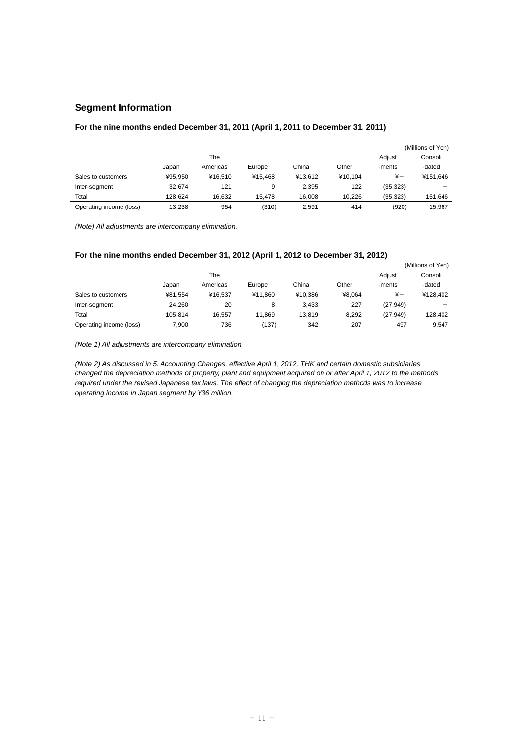# **Segment Information**

# **For the nine months ended December 31, 2011 (April 1, 2011 to December 31, 2011)**

|                         |         |          |         |         |         |              | (Millions of Yen) |
|-------------------------|---------|----------|---------|---------|---------|--------------|-------------------|
|                         |         | The      |         |         |         | Adjust       | Consoli           |
|                         | Japan   | Americas | Europe  | China   | Other   | -ments       | -dated            |
| Sales to customers      | ¥95.950 | ¥16.510  | ¥15.468 | ¥13.612 | ¥10.104 | $\ddot{x}$ — | ¥151.646          |
| Inter-segment           | 32.674  | 121      | 9       | 2.395   | 122     | (35, 323)    |                   |
| Total                   | 128.624 | 16.632   | 15.478  | 16.008  | 10.226  | (35.323)     | 151.646           |
| Operating income (loss) | 13.238  | 954      | (310)   | 2.591   | 414     | (920)        | 15.967            |

*(Note) All adjustments are intercompany elimination.* 

# **For the nine months ended December 31, 2012 (April 1, 2012 to December 31, 2012)**

|                         |         |          |         |         |        |               | (Millions of Yen) |
|-------------------------|---------|----------|---------|---------|--------|---------------|-------------------|
|                         |         | The      |         |         |        | Adjust        | Consoli           |
|                         | Japan   | Americas | Europe  | China   | Other  | -ments        | -dated            |
| Sales to customers      | ¥81.554 | ¥16.537  | ¥11.860 | ¥10.386 | ¥8.064 | $\frac{1}{2}$ | ¥128.402          |
| Inter-segment           | 24.260  | 20       | 8       | 3.433   | 227    | (27, 949)     |                   |
| Total                   | 105.814 | 16.557   | 11.869  | 13.819  | 8.292  | (27, 949)     | 128.402           |
| Operating income (loss) | 7.900   | 736      | (137)   | 342     | 207    | 497           | 9.547             |

*(Note 1) All adjustments are intercompany elimination.* 

*(Note 2) As discussed in 5. Accounting Changes, effective April 1, 2012, THK and certain domestic subsidiaries changed the depreciation methods of property, plant and equipment acquired on or after April 1, 2012 to the methods required under the revised Japanese tax laws. The effect of changing the depreciation methods was to increase operating income in Japan segment by ¥36 million.*